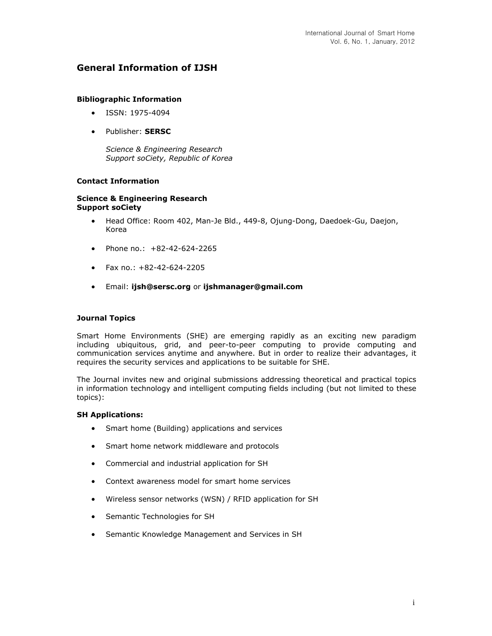## **General Information of IJSH**

### **Bibliographic Information**

- ISSN: 1975-4094
- Publisher: **SERSC**

*Science & Engineering Research Support soCiety, Republic of Korea*

## **Contact Information**

### **Science & Engineering Research Support soCiety**

- Head Office: Room 402, Man-Je Bld., 449-8, Ojung-Dong, Daedoek-Gu, Daejon, Korea
- Phone no.: +82-42-624-2265
- $\bullet$  Fax no.: +82-42-624-2205
- Email: **[ijsh@sersc.org](mailto:ijsh@sersc.org)** or **[ijshmanager@gmail.com](mailto:ijshmanager@gmail.com)**

### **Journal Topics**

Smart Home Environments (SHE) are emerging rapidly as an exciting new paradigm including ubiquitous, grid, and peer-to-peer computing to provide computing and communication services anytime and anywhere. But in order to realize their advantages, it requires the security services and applications to be suitable for SHE.

The Journal invites new and original submissions addressing theoretical and practical topics in information technology and intelligent computing fields including (but not limited to these topics):

### **SH Applications:**

- Smart home (Building) applications and services
- Smart home network middleware and protocols
- Commercial and industrial application for SH
- Context awareness model for smart home services
- Wireless sensor networks (WSN) / RFID application for SH
- Semantic Technologies for SH
- Semantic Knowledge Management and Services in SH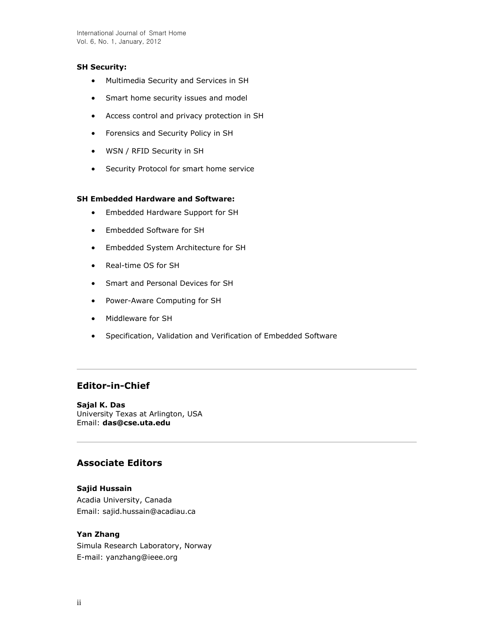### **SH Security:**

- Multimedia Security and Services in SH
- Smart home security issues and model
- Access control and privacy protection in SH
- Forensics and Security Policy in SH
- WSN / RFID Security in SH
- Security Protocol for smart home service

## **SH Embedded Hardware and Software:**

- Embedded Hardware Support for SH
- Embedded Software for SH
- Embedded System Architecture for SH
- Real-time OS for SH
- Smart and Personal Devices for SH
- Power-Aware Computing for SH
- Middleware for SH
- Specification, Validation and Verification of Embedded Software

# **Editor-in-Chief**

**Sajal K. Das** University Texas at Arlington, USA Email: **[das@cse.uta.edu](mailto:das@cse.uta.edu)**

## **Associate Editors**

### **Sajid Hussain**

Acadia University, Canada Email: sajid.hussain@acadiau.ca

## **Yan Zhang**

Simula Research Laboratory, Norway E-mail: yanzhang@ieee.org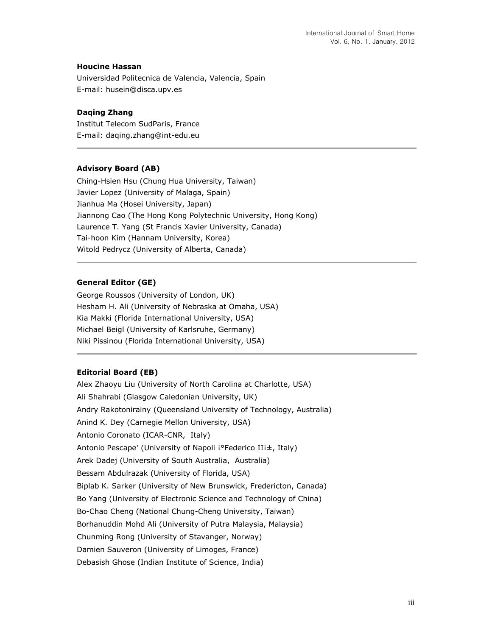### **Houcine Hassan**

Universidad Politecnica de Valencia, Valencia, Spain E-mail: husein@disca.upv.es

### **Daqing Zhang**

Institut Telecom SudParis, France E-mail: daqing.zhang@int-edu.eu

## **Advisory Board (AB)**

Ching-Hsien Hsu (Chung Hua University, Taiwan) Javier Lopez (University of Malaga, Spain) Jianhua Ma (Hosei University, Japan) Jiannong Cao (The Hong Kong Polytechnic University, Hong Kong) Laurence T. Yang (St Francis Xavier University, Canada) Tai-hoon Kim (Hannam University, Korea) Witold Pedrycz (University of Alberta, Canada)

## **General Editor (GE)**

George Roussos (University of London, UK) Hesham H. Ali (University of Nebraska at Omaha, USA) Kia Makki (Florida International University, USA) Michael Beigl (University of Karlsruhe, Germany) Niki Pissinou (Florida International University, USA)

#### **Editorial Board (EB)**

Alex Zhaoyu Liu (University of North Carolina at Charlotte, USA) Ali Shahrabi (Glasgow Caledonian University, UK) Andry Rakotonirainy (Queensland University of Technology, Australia) Anind K. Dey (Carnegie Mellon University, USA) Antonio Coronato (ICAR-CNR, Italy) Antonio Pescape' (University of Napoli i°Federico IIi±, Italy) Arek Dadej (University of South Australia, Australia) Bessam Abdulrazak (University of Florida, USA) Biplab K. Sarker (University of New Brunswick, Fredericton, Canada) Bo Yang (University of Electronic Science and Technology of China) Bo-Chao Cheng (National Chung-Cheng University, Taiwan) Borhanuddin Mohd Ali (University of Putra Malaysia, Malaysia) Chunming Rong (University of Stavanger, Norway) Damien Sauveron (University of Limoges, France) Debasish Ghose (Indian Institute of Science, India)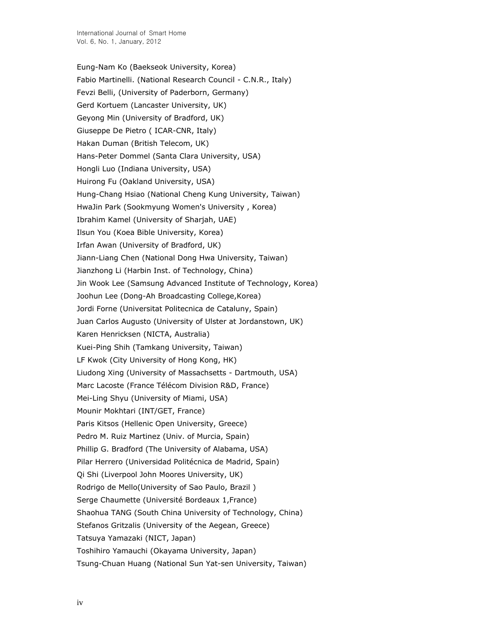Eung-Nam Ko (Baekseok University, Korea) Fabio Martinelli. (National Research Council - C.N.R., Italy) Fevzi Belli, (University of Paderborn, Germany) Gerd Kortuem (Lancaster University, UK) Geyong Min (University of Bradford, UK) Giuseppe De Pietro ( ICAR-CNR, Italy) Hakan Duman (British Telecom, UK) Hans-Peter Dommel (Santa Clara University, USA) Hongli Luo (Indiana University, USA) Huirong Fu (Oakland University, USA) Hung-Chang Hsiao (National Cheng Kung University, Taiwan) HwaJin Park (Sookmyung Women's University , Korea) Ibrahim Kamel (University of Sharjah, UAE) Ilsun You (Koea Bible University, Korea) Irfan Awan (University of Bradford, UK) Jiann-Liang Chen (National Dong Hwa University, Taiwan) Jianzhong Li (Harbin Inst. of Technology, China) Jin Wook Lee (Samsung Advanced Institute of Technology, Korea) Joohun Lee (Dong-Ah Broadcasting College,Korea) Jordi Forne (Universitat Politecnica de Cataluny, Spain) Juan Carlos Augusto (University of Ulster at Jordanstown, UK) Karen Henricksen (NICTA, Australia) Kuei-Ping Shih (Tamkang University, Taiwan) LF Kwok (City University of Hong Kong, HK) Liudong Xing (University of Massachsetts - Dartmouth, USA) Marc Lacoste (France Télécom Division R&D, France) Mei-Ling Shyu (University of Miami, USA) Mounir Mokhtari (INT/GET, France) Paris Kitsos (Hellenic Open University, Greece) Pedro M. Ruiz Martinez (Univ. of Murcia, Spain) Phillip G. Bradford (The University of Alabama, USA) Pilar Herrero (Universidad Politécnica de Madrid, Spain) Qi Shi (Liverpool John Moores University, UK) Rodrigo de Mello(University of Sao Paulo, Brazil ) Serge Chaumette (Université Bordeaux 1,France) Shaohua TANG (South China University of Technology, China) Stefanos Gritzalis (University of the Aegean, Greece) Tatsuya Yamazaki (NICT, Japan) Toshihiro Yamauchi (Okayama University, Japan) Tsung-Chuan Huang (National Sun Yat-sen University, Taiwan)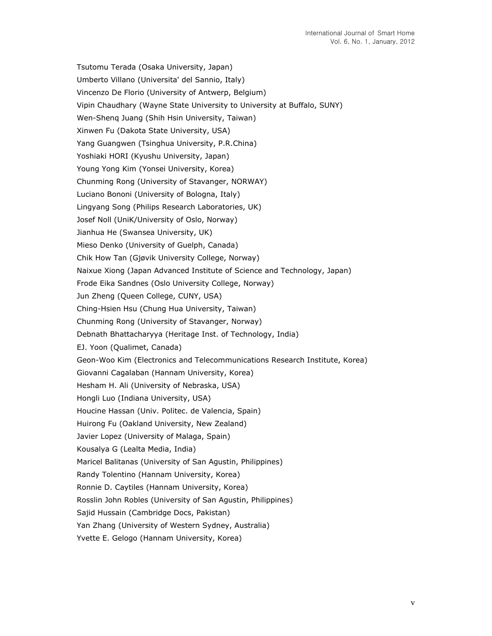Tsutomu Terada (Osaka University, Japan) Umberto Villano (Universita' del Sannio, Italy) Vincenzo De Florio (University of Antwerp, Belgium) Vipin Chaudhary (Wayne State University to University at Buffalo, SUNY) Wen-Shenq Juang (Shih Hsin University, Taiwan) Xinwen Fu (Dakota State University, USA) Yang Guangwen (Tsinghua University, P.R.China) Yoshiaki HORI (Kyushu University, Japan) Young Yong Kim (Yonsei University, Korea) Chunming Rong (University of Stavanger, NORWAY) Luciano Bononi (University of Bologna, Italy) Lingyang Song (Philips Research Laboratories, UK) Josef Noll (UniK/University of Oslo, Norway) Jianhua He (Swansea University, UK) Mieso Denko (University of Guelph, Canada) Chik How Tan (Gjøvik University College, Norway) Naixue Xiong (Japan Advanced Institute of Science and Technology, Japan) Frode Eika Sandnes (Oslo University College, Norway) Jun Zheng (Queen College, CUNY, USA) Ching-Hsien Hsu (Chung Hua University, Taiwan) Chunming Rong (University of Stavanger, Norway) Debnath Bhattacharyya (Heritage Inst. of Technology, India) EJ. Yoon (Qualimet, Canada) Geon-Woo Kim (Electronics and Telecommunications Research Institute, Korea) Giovanni Cagalaban (Hannam University, Korea) Hesham H. Ali (University of Nebraska, USA) Hongli Luo (Indiana University, USA) Houcine Hassan (Univ. Politec. de Valencia, Spain) Huirong Fu (Oakland University, New Zealand) Javier Lopez (University of Malaga, Spain) Kousalya G (Lealta Media, India) Maricel Balitanas (University of San Agustin, Philippines) Randy Tolentino (Hannam University, Korea) Ronnie D. Caytiles (Hannam University, Korea) Rosslin John Robles (University of San Agustin, Philippines) Sajid Hussain (Cambridge Docs, Pakistan) Yan Zhang (University of Western Sydney, Australia) Yvette E. Gelogo (Hannam University, Korea)